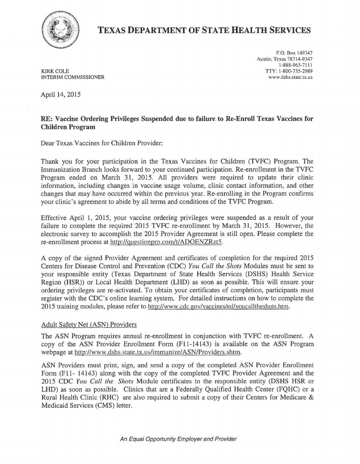

## TEXAS DEPARTMENT OF STATE HEALTH SERVICES

KIRK COLE TTY: 1-800-735-2989 INTERIM COMMISSIONER

P.O. Box 149347 Austin, Texas 78714-9347 1-888-963-7111

April 14, 2015

## RE: Vaccine Ordering Privileges Suspended due to failure to Re-Enroll Texas Vaccines for Children Program

Dear Texas Vaccines for Children Provider:

Thank you for your participation in the Texas Vaccines for Children (TVFC) Program. The Immunization Branch looks forward to your continued participation. Re-enrollment in the TVFC Program ended on March 31, 2015. All providers were required to update their clinic information, including changes in vaccine usage volume, clinic contact information, and other changes that may have occurred within the previous year. Re-enrolling in the Program confirms your clinic's agreement to abide by all terms and conditions of the TVFC Program.

Effective April 1, 2015, your vaccine ordering privileges were suspended as a result of your failure to complete the required 2015 TVFC re-enrollment by March 31, 2015. However, the electronic survey to accomplish the 2015 Provider Agreement is still open. Please complete the re-enrollment process at http://questionpro.com/t/ADOENZRzt5.

A copy of the signed Provider Agreement and certificates of completion for the required 2015 Centers for Disease Control and Prevention (CDC) *You Call the Shots* Modules must be sent to your responsible entity (Texas Department of State Health Services (DSHS) Health Service Region (HSR)) or Local Health Department (LHD) as soon as possible. This will ensure your ordering privileges are re-activated. To obtain your certificates of completion, participants must register with the CDC's online learning system. For detailed instructions on how to complete the 2015 training modules, please refer to http://www.cdc.gov/vaccines/ed/youcalltheshots.htm.

## Adult Safety Net (ASN) Providers

The ASN Program requires annual re-enrollment in conjunction with TVFC re-enrollment. A copy of the ASN Provider Enrollment Form (F11-14143) is available on the ASN Program webpage at http://www.dshs.state.tx.us/immunize/ASN/Providers.shtm.

ASN Providers must print, sign, and send a copy of the completed ASN Provider Enrollment Form (Fll- 14143) along with the copy of the completed TVFC Provider Agreement and the 2015 CDC *You Call the Shots* Module certificates to the responsible entity (DSHS HSR or LHD) as soon as possible. Clinics that are a Federally Qualified Health Center (FQHC) or a Rural Health Clinic (RHC) are also required to submit a copy of their Centers for Medicare & Medicaid Services (CMS) letter.